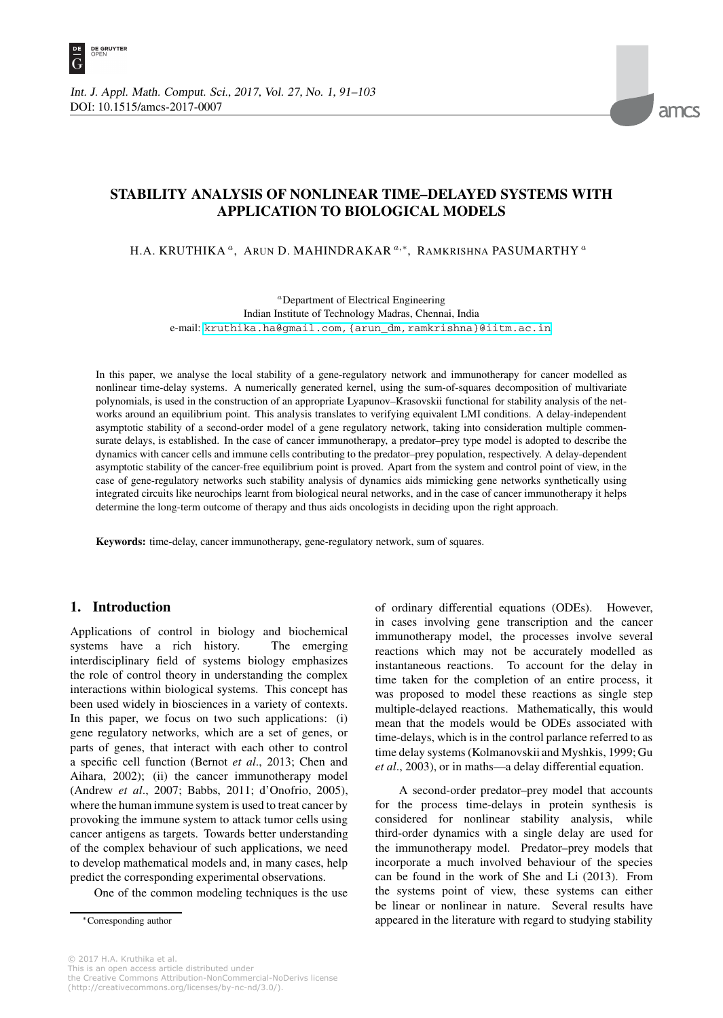

# **STABILITY ANALYSIS OF NONLINEAR TIME–DELAYED SYSTEMS WITH APPLICATION TO BIOLOGICAL MODELS**

H.A. KRUTHIKA <sup>a</sup>, ARUN D. MAHINDRAKAR<sup>a,∗</sup>, RAMKRISHNA PASUMARTHY<sup>a</sup>

*<sup>a</sup>*Department of Electrical Engineering Indian Institute of Technology Madras, Chennai, India e-mail: [kruthika.ha@gmail.com,{arun\\_dm,ramkrishna}@iitm.ac.in](kruthika.ha@gmail.com,{arun_dm,ramkrishna}@iitm.ac.in)

In this paper, we analyse the local stability of a gene-regulatory network and immunotherapy for cancer modelled as nonlinear time-delay systems. A numerically generated kernel, using the sum-of-squares decomposition of multivariate polynomials, is used in the construction of an appropriate Lyapunov–Krasovskii functional for stability analysis of the networks around an equilibrium point. This analysis translates to verifying equivalent LMI conditions. A delay-independent asymptotic stability of a second-order model of a gene regulatory network, taking into consideration multiple commensurate delays, is established. In the case of cancer immunotherapy, a predator–prey type model is adopted to describe the dynamics with cancer cells and immune cells contributing to the predator–prey population, respectively. A delay-dependent asymptotic stability of the cancer-free equilibrium point is proved. Apart from the system and control point of view, in the case of gene-regulatory networks such stability analysis of dynamics aids mimicking gene networks synthetically using integrated circuits like neurochips learnt from biological neural networks, and in the case of cancer immunotherapy it helps determine the long-term outcome of therapy and thus aids oncologists in deciding upon the right approach.

**Keywords:** time-delay, cancer immunotherapy, gene-regulatory network, sum of squares.

### **1. Introduction**

Applications of control in biology and biochemical systems have a rich history. The emerging interdisciplinary field of systems biology emphasizes the role of control theory in understanding the complex interactions within biological systems. This concept has been used widely in biosciences in a variety of contexts. In this paper, we focus on two such applications: (i) gene regulatory networks, which are a set of genes, or parts of genes, that interact with each other to control a specific cell function (Bernot *et al*., 2013; Chen and Aihara, 2002); (ii) the cancer immunotherapy model (Andrew *et al*., 2007; Babbs, 2011; d'Onofrio, 2005), where the human immune system is used to treat cancer by provoking the immune system to attack tumor cells using cancer antigens as targets. Towards better understanding of the complex behaviour of such applications, we need to develop mathematical models and, in many cases, help predict the corresponding experimental observations.

One of the common modeling techniques is the use

of ordinary differential equations (ODEs). However, in cases involving gene transcription and the cancer immunotherapy model, the processes involve several reactions which may not be accurately modelled as instantaneous reactions. To account for the delay in time taken for the completion of an entire process, it was proposed to model these reactions as single step multiple-delayed reactions. Mathematically, this would mean that the models would be ODEs associated with time-delays, which is in the control parlance referred to as time delay systems (Kolmanovskii and Myshkis, 1999; Gu *et al*., 2003), or in maths—a delay differential equation.

A second-order predator–prey model that accounts for the process time-delays in protein synthesis is considered for nonlinear stability analysis, while third-order dynamics with a single delay are used for the immunotherapy model. Predator–prey models that incorporate a much involved behaviour of the species can be found in the work of She and Li (2013). From the systems point of view, these systems can either be linear or nonlinear in nature. Several results have appeared in the literature with regard to studying stability

<sup>∗</sup>Corresponding author

<sup>© 2017</sup> H.A. Kruthika et al. This is an open access article distributed under the Creative Commons Attribution-NonCommercial-NoDerivs license (http://creativecommons.org/licenses/by-nc-nd/3.0/).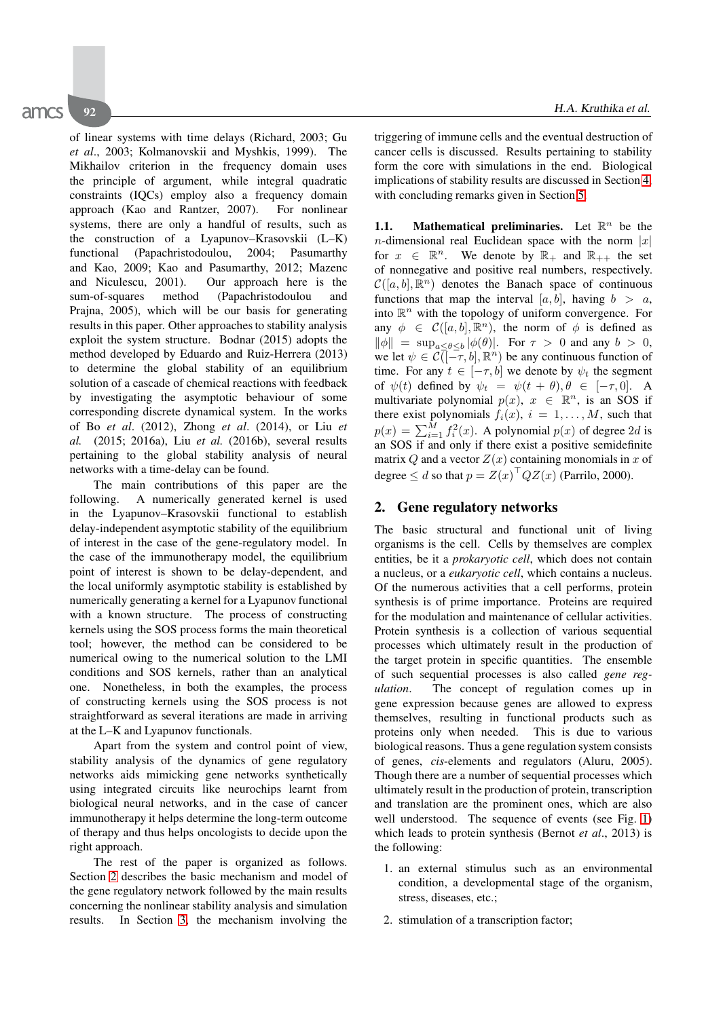of linear systems with time delays (Richard, 2003; Gu *et al*., 2003; Kolmanovskii and Myshkis, 1999). The Mikhailov criterion in the frequency domain uses the principle of argument, while integral quadratic constraints (IQCs) employ also a frequency domain approach (Kao and Rantzer, 2007). For nonlinear systems, there are only a handful of results, such as the construction of a Lyapunov–Krasovskii (L–K) functional (Papachristodoulou, 2004; Pasumarthy and Kao, 2009; Kao and Pasumarthy, 2012; Mazenc and Niculescu, 2001). Our approach here is the sum-of-squares method (Papachristodoulou and Prajna, 2005), which will be our basis for generating results in this paper. Other approaches to stability analysis exploit the system structure. Bodnar (2015) adopts the method developed by Eduardo and Ruiz-Herrera (2013) to determine the global stability of an equilibrium solution of a cascade of chemical reactions with feedback by investigating the asymptotic behaviour of some corresponding discrete dynamical system. In the works of Bo *et al*. (2012), Zhong *et al*. (2014), or Liu *et al.* (2015; 2016a), Liu *et al.* (2016b), several results pertaining to the global stability analysis of neural networks with a time-delay can be found.

The main contributions of this paper are the following. A numerically generated kernel is used in the Lyapunov–Krasovskii functional to establish delay-independent asymptotic stability of the equilibrium of interest in the case of the gene-regulatory model. In the case of the immunotherapy model, the equilibrium point of interest is shown to be delay-dependent, and the local uniformly asymptotic stability is established by numerically generating a kernel for a Lyapunov functional with a known structure. The process of constructing kernels using the SOS process forms the main theoretical tool; however, the method can be considered to be numerical owing to the numerical solution to the LMI conditions and SOS kernels, rather than an analytical one. Nonetheless, in both the examples, the process of constructing kernels using the SOS process is not straightforward as several iterations are made in arriving at the L–K and Lyapunov functionals.

Apart from the system and control point of view, stability analysis of the dynamics of gene regulatory networks aids mimicking gene networks synthetically using integrated circuits like neurochips learnt from biological neural networks, and in the case of cancer immunotherapy it helps determine the long-term outcome of therapy and thus helps oncologists to decide upon the right approach.

The rest of the paper is organized as follows. Section 2 describes the basic mechanism and model of the gene regulatory network followed by the main results concerning the nonlinear stability analysis and simulation results. In Section 3, the mechanism involving the triggering of immune cells and the eventual destruction of cancer cells is discussed. Results pertaining to stability form the core with simulations in the end. Biological implications of stability results are discussed in Section 4, with concluding remarks given in Section 5.

**1.1.** Mathematical preliminaries. Let  $\mathbb{R}^n$  be the *n*-dimensional real Euclidean space with the norm  $|x|$ for  $x \in \mathbb{R}^n$ . We denote by  $\mathbb{R}_+$  and  $\mathbb{R}_{++}$  the set of nonnegative and positive real numbers, respectively.  $\mathcal{C}([a, b], \mathbb{R}^n)$  denotes the Banach space of continuous functions that map the interval [a, b], having  $b > a$ , into  $\mathbb{R}^n$  with the topology of uniform convergence. For any  $\phi \in \mathcal{C}([a, b], \mathbb{R}^n)$ , the norm of  $\phi$  is defined as  $\|\phi\| = \sup_{a \le \theta \le b} |\phi(\theta)|$ . For  $\tau > 0$  and any  $b > 0$ , we let  $\psi \in \mathcal{C}(-\tau, b], \mathbb{R}^n$  be any continuous function of time. For any  $t \in [-\tau, b]$  we denote by  $\psi_t$  the segment of  $\psi(t)$  defined by  $\psi_t = \psi(t + \theta), \theta \in [-\tau, 0].$  A multivariate polynomial  $p(x)$ ,  $x \in \mathbb{R}^n$ , is an SOS if there exist polynomials  $f_i(x)$ ,  $i = 1, \ldots, M$ , such that  $p(x) = \sum_{i=1}^{M} f_i^2(x)$ . A polynomial  $p(x)$  of degree 2d is an SOS if and only if there exist a positive semidefinite matrix Q and a vector  $Z(x)$  containing monomials in x of degree  $\leq d$  so that  $p = Z(x)^{\top} Q Z(x)$  (Parrilo, 2000).

## **2. Gene regulatory networks**

The basic structural and functional unit of living organisms is the cell. Cells by themselves are complex entities, be it a *prokaryotic cell*, which does not contain a nucleus, or a *eukaryotic cell*, which contains a nucleus. Of the numerous activities that a cell performs, protein synthesis is of prime importance. Proteins are required for the modulation and maintenance of cellular activities. Protein synthesis is a collection of various sequential processes which ultimately result in the production of the target protein in specific quantities. The ensemble of such sequential processes is also called *gene regulation*. The concept of regulation comes up in gene expression because genes are allowed to express themselves, resulting in functional products such as proteins only when needed. This is due to various biological reasons. Thus a gene regulation system consists of genes, *cis*-elements and regulators (Aluru, 2005). Though there are a number of sequential processes which ultimately result in the production of protein, transcription and translation are the prominent ones, which are also well understood. The sequence of events (see Fig. 1) which leads to protein synthesis (Bernot *et al*., 2013) is the following:

- 1. an external stimulus such as an environmental condition, a developmental stage of the organism, stress, diseases, etc.;
- 2. stimulation of a transcription factor;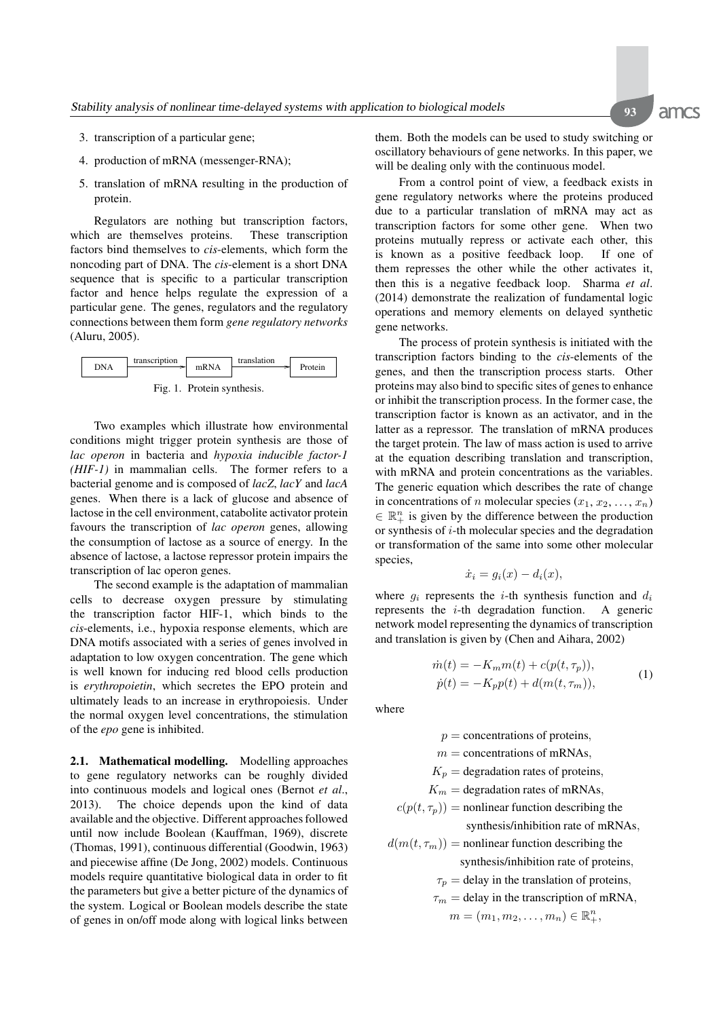amcs

- 3. transcription of a particular gene;
- 4. production of mRNA (messenger-RNA);
- 5. translation of mRNA resulting in the production of protein.

Regulators are nothing but transcription factors, which are themselves proteins. These transcription factors bind themselves to *cis*-elements, which form the noncoding part of DNA. The *cis*-element is a short DNA sequence that is specific to a particular transcription factor and hence helps regulate the expression of a particular gene. The genes, regulators and the regulatory connections between them form *gene regulatory networks* (Aluru, 2005).



Two examples which illustrate how environmental conditions might trigger protein synthesis are those of *lac operon* in bacteria and *hypoxia inducible factor-1 (HIF-1)* in mammalian cells. The former refers to a bacterial genome and is composed of *lacZ*, *lacY* and *lacA* genes. When there is a lack of glucose and absence of lactose in the cell environment, catabolite activator protein favours the transcription of *lac operon* genes, allowing the consumption of lactose as a source of energy. In the absence of lactose, a lactose repressor protein impairs the transcription of lac operon genes.

The second example is the adaptation of mammalian cells to decrease oxygen pressure by stimulating the transcription factor HIF-1, which binds to the *cis*-elements, i.e., hypoxia response elements, which are DNA motifs associated with a series of genes involved in adaptation to low oxygen concentration. The gene which is well known for inducing red blood cells production is *erythropoietin*, which secretes the EPO protein and ultimately leads to an increase in erythropoiesis. Under the normal oxygen level concentrations, the stimulation of the *epo* gene is inhibited.

**2.1. Mathematical modelling.** Modelling approaches to gene regulatory networks can be roughly divided into continuous models and logical ones (Bernot *et al*., 2013). The choice depends upon the kind of data available and the objective. Different approaches followed until now include Boolean (Kauffman, 1969), discrete (Thomas, 1991), continuous differential (Goodwin, 1963) and piecewise affine (De Jong, 2002) models. Continuous models require quantitative biological data in order to fit the parameters but give a better picture of the dynamics of the system. Logical or Boolean models describe the state of genes in on/off mode along with logical links between them. Both the models can be used to study switching or oscillatory behaviours of gene networks. In this paper, we will be dealing only with the continuous model.

From a control point of view, a feedback exists in gene regulatory networks where the proteins produced due to a particular translation of mRNA may act as transcription factors for some other gene. When two proteins mutually repress or activate each other, this is known as a positive feedback loop. If one of them represses the other while the other activates it, then this is a negative feedback loop. Sharma *et al*. (2014) demonstrate the realization of fundamental logic operations and memory elements on delayed synthetic gene networks.

The process of protein synthesis is initiated with the transcription factors binding to the *cis*-elements of the genes, and then the transcription process starts. Other proteins may also bind to specific sites of genes to enhance or inhibit the transcription process. In the former case, the transcription factor is known as an activator, and in the latter as a repressor. The translation of mRNA produces the target protein. The law of mass action is used to arrive at the equation describing translation and transcription, with mRNA and protein concentrations as the variables. The generic equation which describes the rate of change in concentrations of n molecular species  $(x_1, x_2, ..., x_n)$  $\in \mathbb{R}_+^n$  is given by the difference between the production or synthesis of  $i$ -th molecular species and the degradation or transformation of the same into some other molecular species,

$$
\dot{x}_i = g_i(x) - d_i(x),
$$

where  $g_i$  represents the *i*-th synthesis function and  $d_i$ represents the  $i$ -th degradation function. A generic network model representing the dynamics of transcription and translation is given by (Chen and Aihara, 2002)

$$
\dot{m}(t) = -K_m m(t) + c(p(t, \tau_p)), \n\dot{p}(t) = -K_p p(t) + d(m(t, \tau_m)),
$$
\n(1)

where

 $p =$  concentrations of proteins,

 $m =$  concentrations of mRNAs,

 $K_p$  = degradation rates of proteins,

 $K_m$  = degradation rates of mRNAs,

$$
c(p(t, \tau_p)) = \text{nonlinear function describing the}
$$
  
synthesis/inhibition rate of mRNAs,

 $d(m(t, \tau_m))$  = nonlinear function describing the

synthesis/inhibition rate of proteins,

- $\tau_p$  = delay in the translation of proteins,
- $\tau_m$  = delay in the transcription of mRNA,

 $m = (m_1, m_2, \ldots, m_n) \in \mathbb{R}_+^n$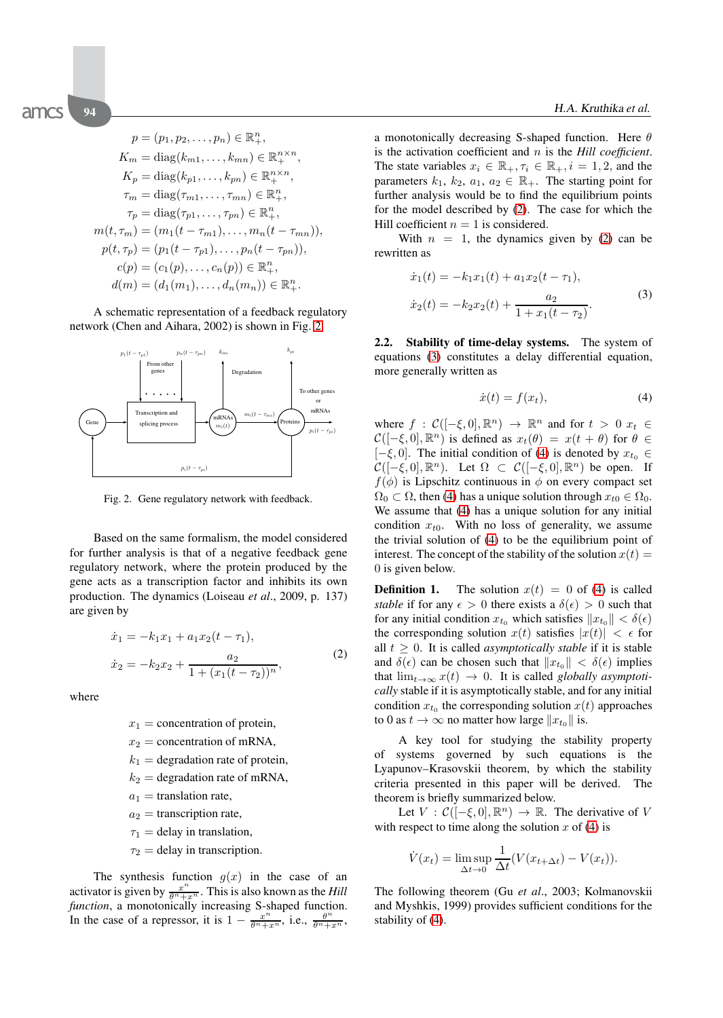$$
p = (p_1, p_2, \dots, p_n) \in \mathbb{R}_+^n,
$$
  
\n
$$
K_m = \text{diag}(k_{m1}, \dots, k_{mn}) \in \mathbb{R}_+^{n \times n},
$$
  
\n
$$
K_p = \text{diag}(k_{p1}, \dots, k_{pn}) \in \mathbb{R}_+^{n \times n},
$$
  
\n
$$
\tau_m = \text{diag}(\tau_{m1}, \dots, \tau_{mn}) \in \mathbb{R}_+^n,
$$
  
\n
$$
\tau_p = \text{diag}(\tau_{p1}, \dots, \tau_{pn}) \in \mathbb{R}_+^n,
$$
  
\n
$$
m(t, \tau_m) = (m_1(t - \tau_{m1}), \dots, m_n(t - \tau_{mn})),
$$
  
\n
$$
p(t, \tau_p) = (p_1(t - \tau_{p1}), \dots, p_n(t - \tau_{pn})),
$$
  
\n
$$
c(p) = (c_1(p), \dots, c_n(p)) \in \mathbb{R}_+^n,
$$
  
\n
$$
d(m) = (d_1(m_1), \dots, d_n(m_n)) \in \mathbb{R}_+^n.
$$

A schematic representation of a feedback regulatory network (Chen and Aihara, 2002) is shown in Fig. 2.



Fig. 2. Gene regulatory network with feedback.

Based on the same formalism, the model considered for further analysis is that of a negative feedback gene regulatory network, where the protein produced by the gene acts as a transcription factor and inhibits its own production. The dynamics (Loiseau *et al*., 2009, p. 137) are given by

$$
\begin{aligned}\n\dot{x}_1 &= -k_1 x_1 + a_1 x_2 (t - \tau_1), \\
\dot{x}_2 &= -k_2 x_2 + \frac{a_2}{1 + (x_1 (t - \tau_2))^n},\n\end{aligned} \tag{2}
$$

where

 $x_1$  = concentration of protein,

- $x_2$  = concentration of mRNA,
- $k_1$  = degradation rate of protein,
- $k_2$  = degradation rate of mRNA,

 $a_1$  = translation rate,

- $a_2$  = transcription rate,
- $\tau_1$  = delay in translation,
- $\tau_2$  = delay in transcription.

The synthesis function  $g(x)$  in the case of an activator is given by  $\frac{x^n}{\theta^n + x^n}$ . This is also known as the *Hill function*, a monotonically increasing S-shaped function. In the case of a repressor, it is  $1 - \frac{x^n}{\theta^n + x^n}$ , i.e.,  $\frac{\theta^n}{\theta^n + x^n}$ ,

a monotonically decreasing S-shaped function. Here  $\theta$ is the activation coefficient and n is the *Hill coefficient*. The state variables  $x_i \in \mathbb{R}_+, \tau_i \in \mathbb{R}_+, i = 1, 2$ , and the parameters  $k_1$ ,  $k_2$ ,  $a_1$ ,  $a_2 \in \mathbb{R}_+$ . The starting point for further analysis would be to find the equilibrium points for the model described by (2). The case for which the Hill coefficient  $n = 1$  is considered.

With  $n = 1$ , the dynamics given by (2) can be rewritten as

$$
\begin{aligned} \dot{x}_1(t) &= -k_1 x_1(t) + a_1 x_2(t - \tau_1), \\ \dot{x}_2(t) &= -k_2 x_2(t) + \frac{a_2}{1 + x_1(t - \tau_2)}. \end{aligned} \tag{3}
$$

**2.2. Stability of time-delay systems.** The system of equations (3) constitutes a delay differential equation, more generally written as

$$
\dot{x}(t) = f(x_t),\tag{4}
$$

where  $f : \mathcal{C}([-\xi, 0], \mathbb{R}^n) \to \mathbb{R}^n$  and for  $t > 0$   $x_t \in$  $\mathcal{C}([-\xi, 0], \mathbb{R}^n)$  is defined as  $x_t(\theta) = x(t + \theta)$  for  $\theta \in$  $[-\xi, 0]$ . The initial condition of (4) is denoted by  $x_{t_0} \in$  $\mathcal{C}([-\xi, 0], \mathbb{R}^n)$ . Let  $\Omega \subset \mathcal{C}([-\xi, 0], \mathbb{R}^n)$  be open. If  $f(\phi)$  is Lipschitz continuous in  $\phi$  on every compact set  $\Omega_0 \subset \Omega$ , then (4) has a unique solution through  $x_{t0} \in \Omega_0$ . We assume that (4) has a unique solution for any initial condition  $x_{t0}$ . With no loss of generality, we assume the trivial solution of (4) to be the equilibrium point of interest. The concept of the stability of the solution  $x(t) =$ 0 is given below.

**Definition 1.** The solution  $x(t) = 0$  of (4) is called *stable* if for any  $\epsilon > 0$  there exists a  $\delta(\epsilon) > 0$  such that for any initial condition  $x_{t_0}$  which satisfies  $||x_{t_0}|| < \delta(\epsilon)$ the corresponding solution  $x(t)$  satisfies  $|x(t)| < \epsilon$  for all  $t \geq 0$ . It is called *asymptotically stable* if it is stable and  $\delta(\epsilon)$  can be chosen such that  $||x_{t_0}|| < \delta(\epsilon)$  implies that  $\lim_{t\to\infty} x(t) \to 0$ . It is called *globally asymptotically* stable if it is asymptotically stable, and for any initial condition  $x_{t_0}$  the corresponding solution  $x(t)$  approaches to 0 as  $t \to \infty$  no matter how large  $||x_{t_0}||$  is.

A key tool for studying the stability property of systems governed by such equations is the Lyapunov–Krasovskii theorem, by which the stability criteria presented in this paper will be derived. The theorem is briefly summarized below.

Let  $V : \mathcal{C}([-\xi, 0], \mathbb{R}^n) \to \mathbb{R}$ . The derivative of V with respect to time along the solution  $x$  of (4) is

$$
\dot{V}(x_t) = \limsup_{\Delta t \to 0} \frac{1}{\Delta t} (V(x_{t+\Delta t}) - V(x_t)).
$$

The following theorem (Gu *et al*., 2003; Kolmanovskii and Myshkis, 1999) provides sufficient conditions for the stability of (4).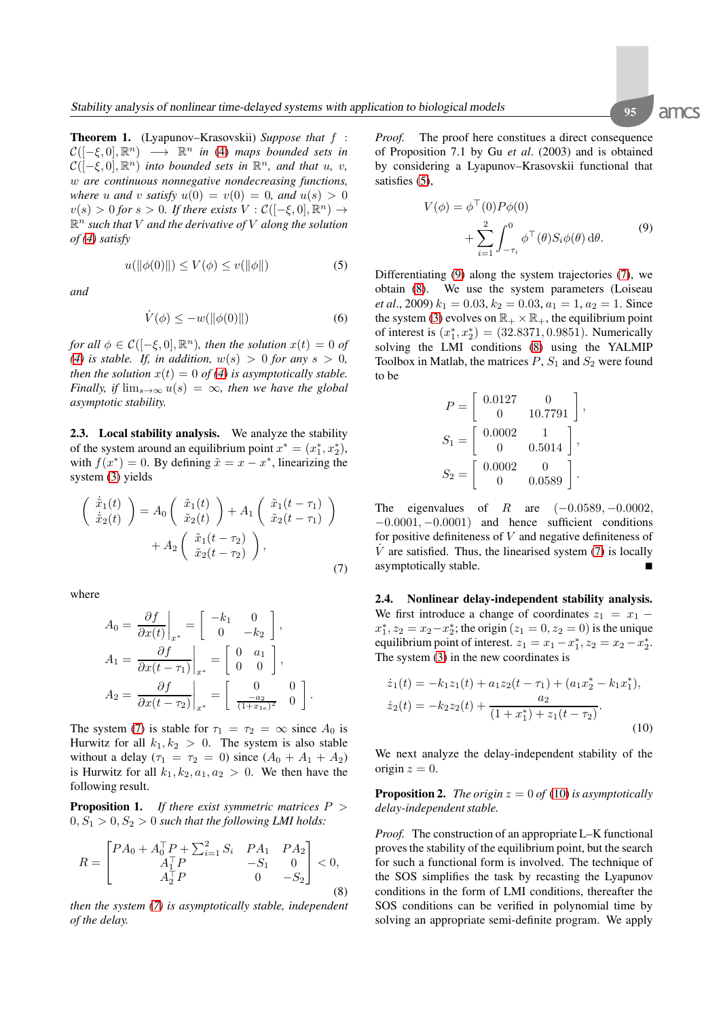**Theorem 1.** (Lyapunov–Krasovskii) *Suppose that* f :  $\mathcal{C}([-\xi, 0], \mathbb{R}^n) \longrightarrow \mathbb{R}^n$  *in* (4) maps bounded sets in  $\mathcal{C}([- \xi, 0], \mathbb{R}^n)$  *into bounded sets in*  $\mathbb{R}^n$ *, and that u, v,* w *are continuous nonnegative nondecreasing functions, where* u and v *satisfy*  $u(0) = v(0) = 0$ *, and*  $u(s) > 0$  $v(s) > 0$  for  $s > 0$ . If there exists  $V : \mathcal{C}([-\xi, 0], \mathbb{R}^n) \rightarrow$  $\mathbb{R}^n$  such that V and the derivative of V along the solution *of (4) satisfy*

$$
u(\|\phi(0)\|) \le V(\phi) \le v(\|\phi\|)
$$
 (5)

*and*

$$
\dot{V}(\phi) \le -w(\|\phi(0)\|) \tag{6}
$$

*for all*  $\phi \in C([- \xi, 0], \mathbb{R}^n)$ *, then the solution*  $x(t)=0$  *of (4) is stable. If, in addition,*  $w(s) > 0$  *for any*  $s > 0$ *, then the solution*  $x(t)=0$  *of (4) is asymptotically stable. Finally, if*  $\lim_{s\to\infty} u(s) = \infty$ *, then we have the global asymptotic stability.*

**2.3. Local stability analysis.** We analyze the stability of the system around an equilibrium point  $x^* = (x_1^*, x_2^*),$ with  $f(x^*)=0$ . By defining  $\tilde{x} = x - x^*$ , linearizing the system (3) yields

$$
\begin{pmatrix}\n\dot{\tilde{x}}_1(t) \\
\dot{\tilde{x}}_2(t)\n\end{pmatrix} = A_0 \begin{pmatrix}\n\tilde{x}_1(t) \\
\tilde{x}_2(t)\n\end{pmatrix} + A_1 \begin{pmatrix}\n\tilde{x}_1(t - \tau_1) \\
\tilde{x}_2(t - \tau_1)\n\end{pmatrix} + A_2 \begin{pmatrix}\n\tilde{x}_1(t - \tau_2) \\
\tilde{x}_2(t - \tau_2)\n\end{pmatrix},
$$
\n(7)

where

$$
A_0 = \frac{\partial f}{\partial x(t)}\Big|_{x^*} = \begin{bmatrix} -k_1 & 0\\ 0 & -k_2 \end{bmatrix},
$$
  
\n
$$
A_1 = \frac{\partial f}{\partial x(t - \tau_1)}\Big|_{x^*} = \begin{bmatrix} 0 & a_1\\ 0 & 0 \end{bmatrix},
$$
  
\n
$$
A_2 = \frac{\partial f}{\partial x(t - \tau_2)}\Big|_{x^*} = \begin{bmatrix} 0 & 0\\ \frac{-a_2}{(1 + x_{1e})^2} & 0 \end{bmatrix}.
$$

The system (7) is stable for  $\tau_1 = \tau_2 = \infty$  since  $A_0$  is Hurwitz for all  $k_1, k_2 > 0$ . The system is also stable without a delay  $(\tau_1 = \tau_2 = 0)$  since  $(A_0 + A_1 + A_2)$ is Hurwitz for all  $k_1, k_2, a_1, a_2 > 0$ . We then have the following result.

**Proposition 1.** *If there exist symmetric matrices* P >  $0, S_1 > 0, S_2 > 0$  *such that the following LMI holds:* 

$$
R = \begin{bmatrix} P A_0 + A_0^\top P + \sum_{i=1}^2 S_i & P A_1 & P A_2 \\ A_1^\top P & -S_1 & 0 \\ A_2^\top P & 0 & -S_2 \end{bmatrix} < 0,\tag{8}
$$

*then the system (7) is asymptotically stable, independent of the delay.*

*Proof.* The proof here constitues a direct consequence of Proposition 7.1 by Gu *et al*. (2003) and is obtained by considering a Lyapunov–Krasovskii functional that satisfies (5),

$$
V(\phi) = \phi^{\top}(0)P\phi(0)
$$
  
+ 
$$
\sum_{i=1}^{2} \int_{-\tau_i}^{0} \phi^{\top}(\theta)S_i\phi(\theta) d\theta.
$$
 (9)

Differentiating (9) along the system trajectories (7), we obtain (8). We use the system parameters (Loiseau *et al.*, 2009)  $k_1 = 0.03$ ,  $k_2 = 0.03$ ,  $a_1 = 1$ ,  $a_2 = 1$ . Since the system (3) evolves on  $\mathbb{R}_+ \times \mathbb{R}_+$ , the equilibrium point of interest is  $(x_1^*, x_2^*) = (32.8371, 0.9851)$ . Numerically solving the LMI conditions (8) using the YALMIP Toolbox in Matlab, the matrices  $P$ ,  $S_1$  and  $S_2$  were found to be

$$
P = \begin{bmatrix} 0.0127 & 0 \\ 0 & 10.7791 \end{bmatrix},
$$
  
\n
$$
S_1 = \begin{bmatrix} 0.0002 & 1 \\ 0 & 0.5014 \end{bmatrix},
$$
  
\n
$$
S_2 = \begin{bmatrix} 0.0002 & 0 \\ 0 & 0.0589 \end{bmatrix}.
$$

The eigenvalues of R are  $(-0.0589, -0.0002,$  $-0.0001, -0.0001$  and hence sufficient conditions for positive definiteness of  $V$  and negative definiteness of  $\dot{V}$  are satisfied. Thus, the linearised system (7) is locally asymptotically stable.

**2.4. Nonlinear delay-independent stability analysis.** We first introduce a change of coordinates  $z_1 = x_1$  $x_1^*, z_2 = x_2 - x_2^*$ ; the origin  $(z_1 = 0, z_2 = 0)$  is the unique equilibrium point of interest.  $z_1 = x_1 - x_1^*, z_2 = x_2 - x_2^*$ . The system (3) in the new coordinates is

$$
\dot{z}_1(t) = -k_1 z_1(t) + a_1 z_2(t - \tau_1) + (a_1 x_2^* - k_1 x_1^*),
$$
  
\n
$$
\dot{z}_2(t) = -k_2 z_2(t) + \frac{a_2}{(1 + x_1^*) + z_1(t - \tau_2)}.
$$
  
\n(10)

We next analyze the delay-independent stability of the origin  $z = 0$ .

**Proposition 2.** *The origin*  $z = 0$  *of* (10) *is asymptotically delay-independent stable.*

*Proof.* The construction of an appropriate L–K functional proves the stability of the equilibrium point, but the search for such a functional form is involved. The technique of the SOS simplifies the task by recasting the Lyapunov conditions in the form of LMI conditions, thereafter the SOS conditions can be verified in polynomial time by solving an appropriate semi-definite program. We apply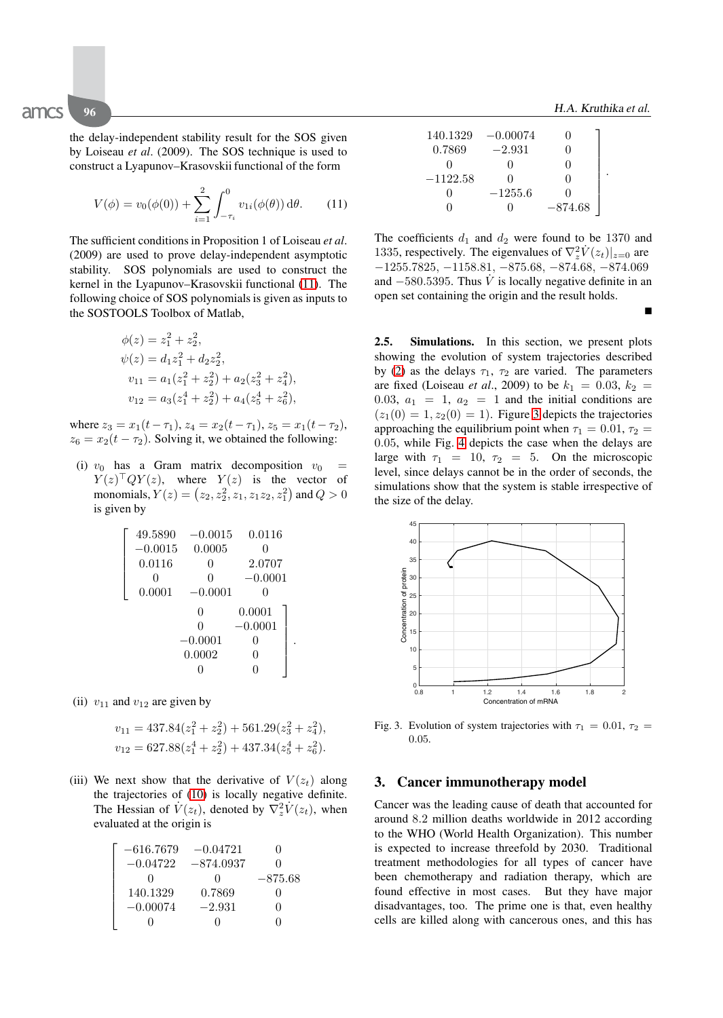-

the delay-independent stability result for the SOS given by Loiseau *et al*. (2009). The SOS technique is used to construct a Lyapunov–Krasovskii functional of the form

$$
V(\phi) = v_0(\phi(0)) + \sum_{i=1}^2 \int_{-\tau_i}^0 v_{1i}(\phi(\theta)) d\theta.
$$
 (11)

The sufficient conditions in Proposition 1 of Loiseau *et al*. (2009) are used to prove delay-independent asymptotic stability. SOS polynomials are used to construct the kernel in the Lyapunov–Krasovskii functional (11). The following choice of SOS polynomials is given as inputs to the SOSTOOLS Toolbox of Matlab,

$$
\phi(z) = z_1^2 + z_2^2,
$$
  
\n
$$
\psi(z) = d_1 z_1^2 + d_2 z_2^2,
$$
  
\n
$$
v_{11} = a_1 (z_1^2 + z_2^2) + a_2 (z_3^2 + z_4^2),
$$
  
\n
$$
v_{12} = a_3 (z_1^4 + z_2^2) + a_4 (z_3^4 + z_6^2),
$$

where  $z_3 = x_1(t - \tau_1)$ ,  $z_4 = x_2(t - \tau_1)$ ,  $z_5 = x_1(t - \tau_2)$ ,  $z_6 = x_2(t - \tau_2)$ . Solving it, we obtained the following:

(i)  $v_0$  has a Gram matrix decomposition  $v_0$  =  $Y(z)^\top Q Y(z)$ , where  $Y(z)$  is the vector of monomials,  $Y(z) = \left(z_2, z_2^2, z_1, z_1 z_2, z_1^2\right)$  and  $Q > 0$ is given by

$$
\left[\begin{array}{cccc} 49.5890 & -0.0015 & 0.0116 \\ -0.0015 & 0.0005 & 0 \\ 0.0116 & 0 & 2.0707 \\ 0 & 0 & -0.0001 \\ 0.0001 & -0.0001 & 0 \\ 0 & 0 & 0.0001 \\ 0 & -0.0001 & 0 \\ -0.0001 & 0 & 0 \\ 0.0002 & 0 & 0 \\ 0 & 0 & 0 \end{array}\right].
$$

(ii)  $v_{11}$  and  $v_{12}$  are given by

$$
v_{11} = 437.84(z_1^2 + z_2^2) + 561.29(z_3^2 + z_4^2),
$$
  

$$
v_{12} = 627.88(z_1^4 + z_2^2) + 437.34(z_5^4 + z_6^2).
$$

(iii) We next show that the derivative of  $V(z_t)$  along the trajectories of (10) is locally negative definite. The Hessian of  $\dot{V}(z_t)$ , denoted by  $\nabla_z^2 \dot{V}(z_t)$ , when evaluated at the origin is

| $-616.7679$ | $-0.04721$   |           |
|-------------|--------------|-----------|
| $-0.04722$  | $-874.0937$  | 0         |
|             | $\mathbf{I}$ | $-875.68$ |
| 140.1329    | 0.7869       | ''        |
| $-0.00074$  | $-2.931$     | 0         |
|             |              |           |

| 140.1329   | $-0.00074$ | $\Omega$     |  |
|------------|------------|--------------|--|
| 0.7869     | $-2.931$   | $\Omega$     |  |
|            |            | $\mathbf{0}$ |  |
| $-1122.58$ |            | Ω            |  |
|            | $-1255.6$  | $\mathbf{I}$ |  |
|            |            | $-874.68$    |  |

The coefficients  $d_1$  and  $d_2$  were found to be 1370 and 1335, respectively. The eigenvalues of  $\nabla_z^2 \dot{V}(z_t)|_{z=0}$  are −1255.7825, −1158.81, −875.68, −874.68, −874.069 and  $-580.5395$ . Thus V is locally negative definite in an open set containing the origin and the result holds.

**2.5. Simulations.** In this section, we present plots showing the evolution of system trajectories described by (2) as the delays  $\tau_1$ ,  $\tau_2$  are varied. The parameters are fixed (Loiseau *et al.*, 2009) to be  $k_1 = 0.03, k_2 =$ 0.03,  $a_1 = 1$ ,  $a_2 = 1$  and the initial conditions are  $(z_1(0) = 1, z_2(0) = 1)$ . Figure 3 depicts the trajectories approaching the equilibrium point when  $\tau_1 = 0.01$ ,  $\tau_2 =$ 0.05, while Fig. 4 depicts the case when the delays are large with  $\tau_1 = 10$ ,  $\tau_2 = 5$ . On the microscopic level, since delays cannot be in the order of seconds, the simulations show that the system is stable irrespective of the size of the delay.



Fig. 3. Evolution of system trajectories with  $\tau_1 = 0.01$ ,  $\tau_2 =$ 0.05.

### **3. Cancer immunotherapy model**

Cancer was the leading cause of death that accounted for around 8.2 million deaths worldwide in 2012 according to the WHO (World Health Organization). This number is expected to increase threefold by 2030. Traditional treatment methodologies for all types of cancer have been chemotherapy and radiation therapy, which are found effective in most cases. But they have major disadvantages, too. The prime one is that, even healthy cells are killed along with cancerous ones, and this has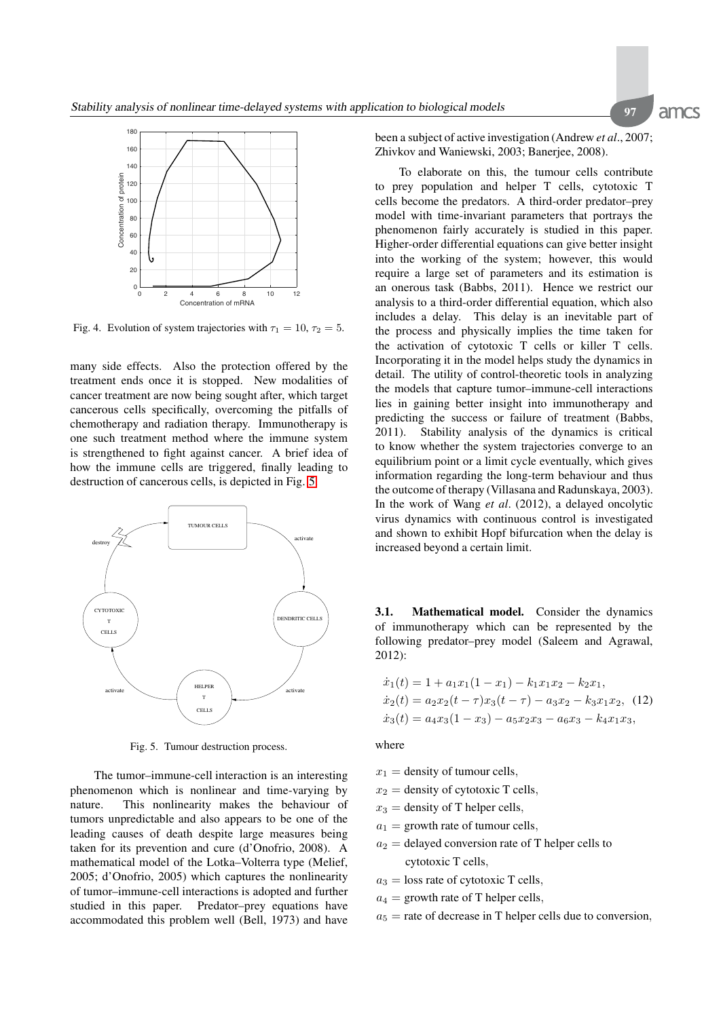

Fig. 4. Evolution of system trajectories with  $\tau_1 = 10$ ,  $\tau_2 = 5$ .

many side effects. Also the protection offered by the treatment ends once it is stopped. New modalities of cancer treatment are now being sought after, which target cancerous cells specifically, overcoming the pitfalls of chemotherapy and radiation therapy. Immunotherapy is one such treatment method where the immune system is strengthened to fight against cancer. A brief idea of how the immune cells are triggered, finally leading to destruction of cancerous cells, is depicted in Fig. 5.



Fig. 5. Tumour destruction process.

The tumor–immune-cell interaction is an interesting phenomenon which is nonlinear and time-varying by nature. This nonlinearity makes the behaviour of tumors unpredictable and also appears to be one of the leading causes of death despite large measures being taken for its prevention and cure (d'Onofrio, 2008). A mathematical model of the Lotka–Volterra type (Melief, 2005; d'Onofrio, 2005) which captures the nonlinearity of tumor–immune-cell interactions is adopted and further studied in this paper. Predator–prey equations have accommodated this problem well (Bell, 1973) and have been a subject of active investigation (Andrew *et al*., 2007; Zhivkov and Waniewski, 2003; Banerjee, 2008).

To elaborate on this, the tumour cells contribute to prey population and helper T cells, cytotoxic T cells become the predators. A third-order predator–prey model with time-invariant parameters that portrays the phenomenon fairly accurately is studied in this paper. Higher-order differential equations can give better insight into the working of the system; however, this would require a large set of parameters and its estimation is an onerous task (Babbs, 2011). Hence we restrict our analysis to a third-order differential equation, which also includes a delay. This delay is an inevitable part of the process and physically implies the time taken for the activation of cytotoxic T cells or killer T cells. Incorporating it in the model helps study the dynamics in detail. The utility of control-theoretic tools in analyzing the models that capture tumor–immune-cell interactions lies in gaining better insight into immunotherapy and predicting the success or failure of treatment (Babbs, 2011). Stability analysis of the dynamics is critical to know whether the system trajectories converge to an equilibrium point or a limit cycle eventually, which gives information regarding the long-term behaviour and thus the outcome of therapy (Villasana and Radunskaya, 2003). In the work of Wang *et al*. (2012), a delayed oncolytic virus dynamics with continuous control is investigated and shown to exhibit Hopf bifurcation when the delay is increased beyond a certain limit.

**3.1. Mathematical model.** Consider the dynamics of immunotherapy which can be represented by the following predator–prey model (Saleem and Agrawal, 2012):

$$
\begin{aligned}\n\dot{x}_1(t) &= 1 + a_1 x_1 (1 - x_1) - k_1 x_1 x_2 - k_2 x_1, \\
\dot{x}_2(t) &= a_2 x_2 (t - \tau) x_3 (t - \tau) - a_3 x_2 - k_3 x_1 x_2, \\
\dot{x}_3(t) &= a_4 x_3 (1 - x_3) - a_5 x_2 x_3 - a_6 x_3 - k_4 x_1 x_3,\n\end{aligned}
$$
\n(12)

where

- $x_1$  = density of tumour cells,
- $x_2$  = density of cytotoxic T cells,
- $x_3$  = density of T helper cells,
- $a_1$  = growth rate of tumour cells,
- $a_2$  = delayed conversion rate of T helper cells to cytotoxic T cells,
- $a_3$  = loss rate of cytotoxic T cells,
- $a_4$  = growth rate of T helper cells,
- $a_5$  = rate of decrease in T helper cells due to conversion,

amcs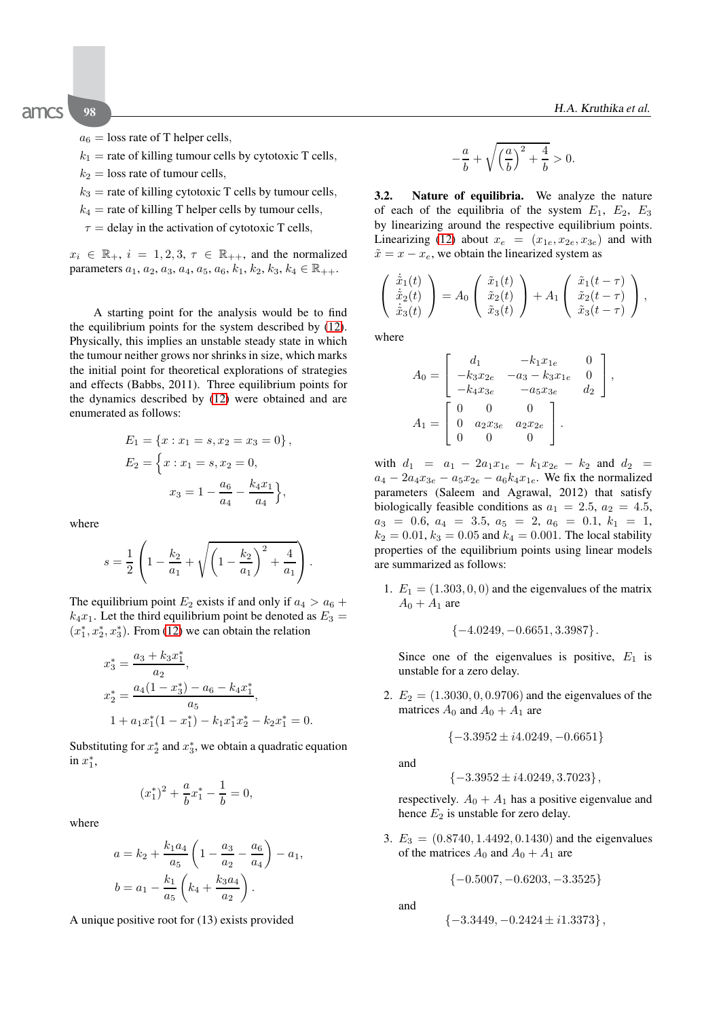$a_6$  = loss rate of T helper cells,

 $k_1$  = rate of killing tumour cells by cytotoxic T cells,

- $k_2$  = loss rate of tumour cells,
- $k_3$  = rate of killing cytotoxic T cells by tumour cells,
- $k_4$  = rate of killing T helper cells by tumour cells,
- $\tau$  = delay in the activation of cytotoxic T cells,

 $x_i \in \mathbb{R}_+$ ,  $i = 1, 2, 3, \tau \in \mathbb{R}_{++}$ , and the normalized parameters  $a_1, a_2, a_3, a_4, a_5, a_6, k_1, k_2, k_3, k_4 \in \mathbb{R}_{++}$ .

A starting point for the analysis would be to find the equilibrium points for the system described by (12). Physically, this implies an unstable steady state in which the tumour neither grows nor shrinks in size, which marks the initial point for theoretical explorations of strategies and effects (Babbs, 2011). Three equilibrium points for the dynamics described by (12) were obtained and are enumerated as follows:

$$
E_1 = \{x : x_1 = s, x_2 = x_3 = 0\},\,
$$
  
\n
$$
E_2 = \{x : x_1 = s, x_2 = 0,\,
$$
  
\n
$$
x_3 = 1 - \frac{a_6}{a_4} - \frac{k_4 x_1}{a_4}\},
$$

where

$$
s = \frac{1}{2} \left( 1 - \frac{k_2}{a_1} + \sqrt{\left( 1 - \frac{k_2}{a_1} \right)^2 + \frac{4}{a_1}} \right).
$$

The equilibrium point  $E_2$  exists if and only if  $a_4 > a_6 +$  $k_4x_1$ . Let the third equilibrium point be denoted as  $E_3 =$  $(x_1^*, x_2^*, x_3^*)$ . From (12) we can obtain the relation

$$
x_3^* = \frac{a_3 + k_3 x_1^*}{a_2},
$$
  
\n
$$
x_2^* = \frac{a_4(1 - x_3^*) - a_6 - k_4 x_1^*}{a_5},
$$
  
\n
$$
1 + a_1 x_1^* (1 - x_1^*) - k_1 x_1^* x_2^* - k_2 x_1^* = 0.
$$

Substituting for  $x_2^*$  and  $x_3^*$ , we obtain a quadratic equation in  $x_1^*$ ,

$$
(x_1^*)^2 + \frac{a}{b}x_1^* - \frac{1}{b} = 0,
$$

where

$$
a = k_2 + \frac{k_1 a_4}{a_5} \left( 1 - \frac{a_3}{a_2} - \frac{a_6}{a_4} \right) - a_1,
$$
  

$$
b = a_1 - \frac{k_1}{a_5} \left( k_4 + \frac{k_3 a_4}{a_2} \right).
$$

A unique positive root for (13) exists provided

$$
-\frac{a}{b}+\sqrt{\left(\frac{a}{b}\right)^2+\frac{4}{b}}>0.
$$

**3.2. Nature of equilibria.** We analyze the nature of each of the equilibria of the system  $E_1$ ,  $E_2$ ,  $E_3$ by linearizing around the respective equilibrium points. Linearizing (12) about  $x_e = (x_{1e}, x_{2e}, x_{3e})$  and with  $\tilde{x} = x - x_e$ , we obtain the linearized system as

$$
\begin{pmatrix}\n\dot{\tilde{x}}_1(t) \\
\dot{\tilde{x}}_2(t) \\
\dot{\tilde{x}}_3(t)\n\end{pmatrix} = A_0 \begin{pmatrix}\n\tilde{x}_1(t) \\
\tilde{x}_2(t) \\
\tilde{x}_3(t)\n\end{pmatrix} + A_1 \begin{pmatrix}\n\tilde{x}_1(t-\tau) \\
\tilde{x}_2(t-\tau) \\
\tilde{x}_3(t-\tau)\n\end{pmatrix},
$$

where

$$
A_0 = \begin{bmatrix} d_1 & -k_1 x_{1e} & 0 \\ -k_3 x_{2e} & -a_3 - k_3 x_{1e} & 0 \\ -k_4 x_{3e} & -a_5 x_{3e} & d_2 \end{bmatrix},
$$
  

$$
A_1 = \begin{bmatrix} 0 & 0 & 0 \\ 0 & a_2 x_{3e} & a_2 x_{2e} \\ 0 & 0 & 0 \end{bmatrix}.
$$

with  $d_1 = a_1 - 2a_1x_{1e} - k_1x_{2e} - k_2$  and  $d_2 =$  $a_4 - 2a_4x_{3e} - a_5x_{2e} - a_6k_4x_{1e}$ . We fix the normalized parameters (Saleem and Agrawal, 2012) that satisfy biologically feasible conditions as  $a_1 = 2.5$ ,  $a_2 = 4.5$ ,  $a_3 = 0.6, a_4 = 3.5, a_5 = 2, a_6 = 0.1, k_1 = 1,$  $k_2 = 0.01$ ,  $k_3 = 0.05$  and  $k_4 = 0.001$ . The local stability properties of the equilibrium points using linear models are summarized as follows:

1.  $E_1 = (1.303, 0, 0)$  and the eigenvalues of the matrix  $A_0 + A_1$  are

$$
\{-4.0249, -0.6651, 3.3987\}.
$$

Since one of the eigenvalues is positive,  $E_1$  is unstable for a zero delay.

2.  $E_2 = (1.3030, 0, 0.9706)$  and the eigenvalues of the matrices  $A_0$  and  $A_0 + A_1$  are

$$
\{-3.3952 \pm i4.0249, -0.6651\}
$$

and

$$
\{-3.3952 \pm i4.0249, 3.7023\},\
$$

respectively.  $A_0 + A_1$  has a positive eigenvalue and hence  $E_2$  is unstable for zero delay.

3.  $E_3 = (0.8740, 1.4492, 0.1430)$  and the eigenvalues of the matrices  $A_0$  and  $A_0 + A_1$  are

$$
\{-0.5007,-0.6203,-3.3525\}
$$

and

$$
\{-3.3449, -0.2424 \pm i1.3373\},\
$$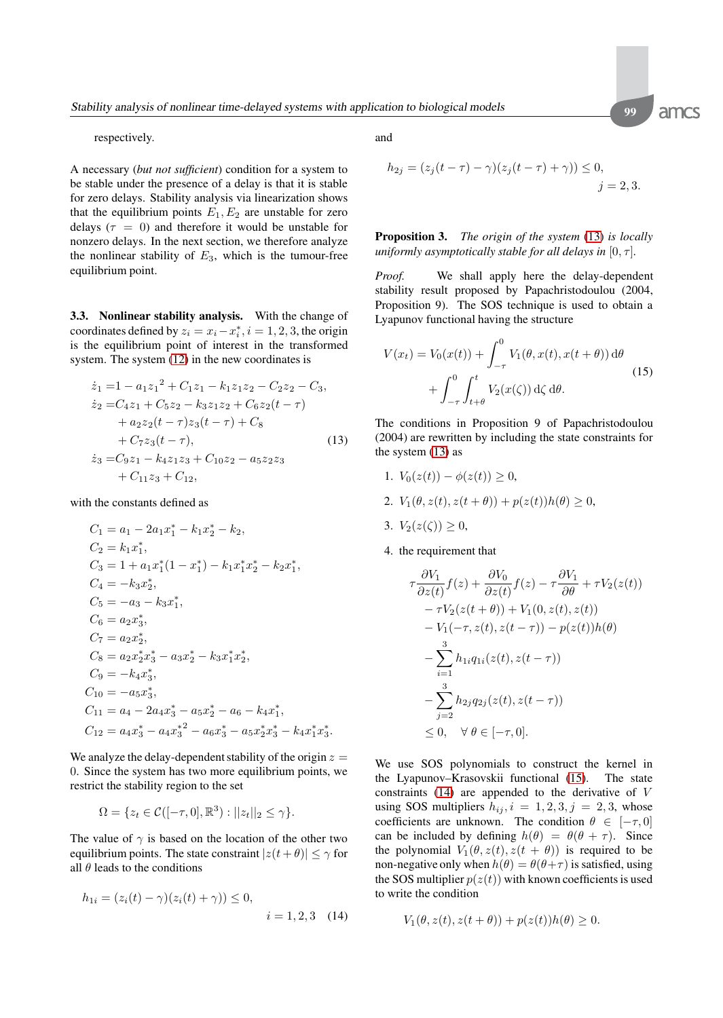amcs

respectively.

A necessary (*but not sufficient*) condition for a system to be stable under the presence of a delay is that it is stable for zero delays. Stability analysis via linearization shows that the equilibrium points  $E_1, E_2$  are unstable for zero delays ( $\tau = 0$ ) and therefore it would be unstable for nonzero delays. In the next section, we therefore analyze the nonlinear stability of  $E_3$ , which is the tumour-free equilibrium point.

**3.3. Nonlinear stability analysis.** With the change of coordinates defined by  $z_i = x_i - x_i^*$ ,  $i = 1, 2, 3$ , the origin is the equilibrium point of interest in the transformed system. The system (12) in the new coordinates is

$$
\begin{aligned}\n\dot{z}_1 &= 1 - a_1 z_1^2 + C_1 z_1 - k_1 z_1 z_2 - C_2 z_2 - C_3, \\
\dot{z}_2 &= C_4 z_1 + C_5 z_2 - k_3 z_1 z_2 + C_6 z_2 (t - \tau) \\
&\quad + a_2 z_2 (t - \tau) z_3 (t - \tau) + C_8 \\
&\quad + C_7 z_3 (t - \tau), \\
\dot{z}_3 &= C_9 z_1 - k_4 z_1 z_3 + C_{10} z_2 - a_5 z_2 z_3 \\
&\quad + C_{11} z_3 + C_{12},\n\end{aligned}\n\tag{13}
$$

with the constants defined as

$$
C_1 = a_1 - 2a_1x_1^* - k_1x_2^* - k_2,
$$
  
\n
$$
C_2 = k_1x_1^*,
$$
  
\n
$$
C_3 = 1 + a_1x_1^*(1 - x_1^*) - k_1x_1^*x_2^* - k_2x_1^*,
$$
  
\n
$$
C_4 = -k_3x_2^*,
$$
  
\n
$$
C_5 = -a_3 - k_3x_1^*,
$$
  
\n
$$
C_6 = a_2x_3^*,
$$
  
\n
$$
C_7 = a_2x_2^*,
$$
  
\n
$$
C_8 = a_2x_2^*x_3^* - a_3x_2^* - k_3x_1^*x_2^*,
$$
  
\n
$$
C_9 = -k_4x_3^*,
$$
  
\n
$$
C_{10} = -a_5x_3^*,
$$
  
\n
$$
C_{11} = a_4 - 2a_4x_3^* - a_5x_2^* - a_6 - k_4x_1^*,
$$
  
\n
$$
C_{12} = a_4x_3^* - a_4x_3^*^2 - a_6x_3^* - a_5x_2^*x_3^* - k_4x_1^*x_3^*.
$$

We analyze the delay-dependent stability of the origin  $z =$ 0. Since the system has two more equilibrium points, we restrict the stability region to the set

$$
\Omega = \{z_t \in \mathcal{C}([-\tau,0],\mathbb{R}^3): ||z_t||_2 \leq \gamma\}.
$$

The value of  $\gamma$  is based on the location of the other two equilibrium points. The state constraint  $|z(t + \theta)| \le \gamma$  for all  $\theta$  leads to the conditions

$$
h_{1i} = (z_i(t) - \gamma)(z_i(t) + \gamma)) \le 0,
$$
  
  $i = 1, 2, 3$  (14)

and

$$
h_{2j} = (z_j(t - \tau) - \gamma)(z_j(t - \tau) + \gamma)) \le 0, j = 2, 3.
$$

**Proposition 3.** *The origin of the system* (13) *is locally uniformly asymptotically stable for all delays in*  $[0, \tau]$ *.* 

*Proof.* We shall apply here the delay-dependent stability result proposed by Papachristodoulou (2004, Proposition 9). The SOS technique is used to obtain a Lyapunov functional having the structure

$$
V(x_t) = V_0(x(t)) + \int_{-\tau}^0 V_1(\theta, x(t), x(t + \theta)) d\theta
$$
  
+ 
$$
\int_{-\tau}^0 \int_{t+\theta}^t V_2(x(\zeta)) d\zeta d\theta.
$$
 (15)

The conditions in Proposition 9 of Papachristodoulou (2004) are rewritten by including the state constraints for the system (13) as

- 1.  $V_0(z(t)) \phi(z(t)) \geq 0$ ,
- 2.  $V_1(\theta, z(t), z(t + \theta)) + p(z(t))h(\theta) \geq 0$ ,
- 3.  $V_2(z(\zeta)) \geq 0$ ,
- 4. the requirement that

$$
\tau \frac{\partial V_1}{\partial z(t)} f(z) + \frac{\partial V_0}{\partial z(t)} f(z) - \tau \frac{\partial V_1}{\partial \theta} + \tau V_2(z(t))
$$
  
\n
$$
- \tau V_2(z(t + \theta)) + V_1(0, z(t), z(t))
$$
  
\n
$$
- V_1(-\tau, z(t), z(t - \tau)) - p(z(t))h(\theta)
$$
  
\n
$$
- \sum_{i=1}^3 h_{1i}q_{1i}(z(t), z(t - \tau))
$$
  
\n
$$
- \sum_{j=2}^3 h_{2j}q_{2j}(z(t), z(t - \tau))
$$
  
\n
$$
\leq 0, \quad \forall \ \theta \in [-\tau, 0].
$$

We use SOS polynomials to construct the kernel in the Lyapunov–Krasovskii functional (15). The state constraints  $(14)$  are appended to the derivative of V using SOS multipliers  $h_{ij}$ ,  $i = 1, 2, 3, j = 2, 3$ , whose coefficients are unknown. The condition  $\theta \in [-\tau, 0]$ can be included by defining  $h(\theta) = \theta(\theta + \tau)$ . Since the polynomial  $V_1(\theta, z(t), z(t + \theta))$  is required to be non-negative only when  $h(\theta) = \theta(\theta + \tau)$  is satisfied, using the SOS multiplier  $p(z(t))$  with known coefficients is used to write the condition

$$
V_1(\theta, z(t), z(t+\theta)) + p(z(t))h(\theta) \ge 0.
$$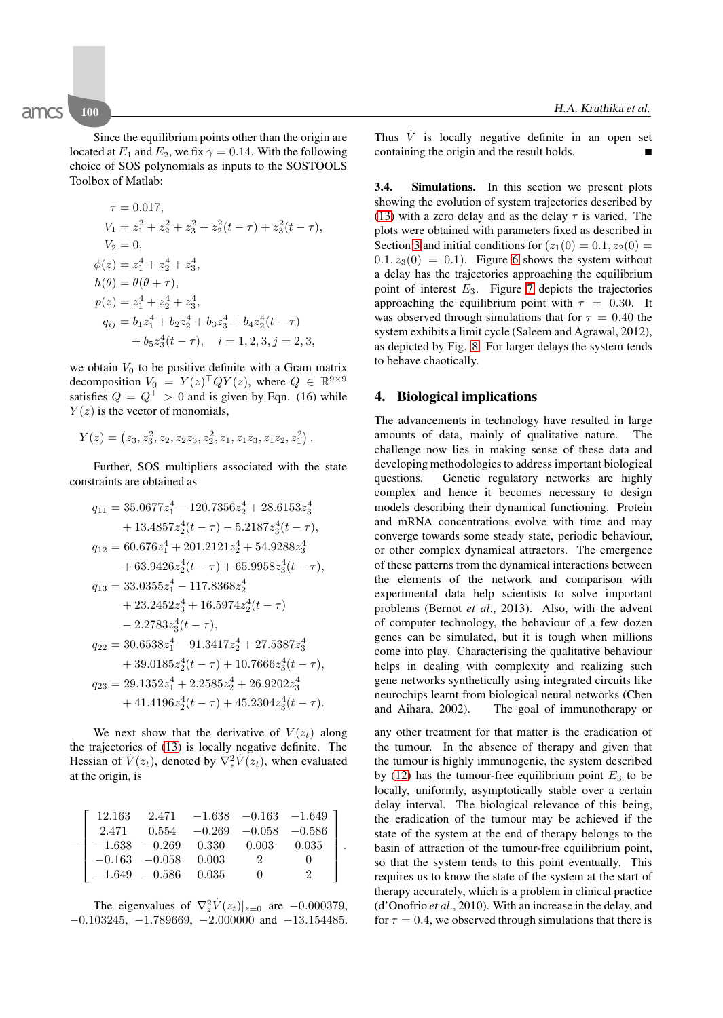Toolbox of Matlab:

$$
\tau = 0.017,
$$
  
\n
$$
V_1 = z_1^2 + z_2^2 + z_3^2 + z_2^2(t - \tau) + z_3^2(t - \tau),
$$
  
\n
$$
V_2 = 0,
$$
  
\n
$$
\phi(z) = z_1^4 + z_2^4 + z_3^4,
$$
  
\n
$$
h(\theta) = \theta(\theta + \tau),
$$
  
\n
$$
p(z) = z_1^4 + z_2^4 + z_3^4,
$$
  
\n
$$
q_{ij} = b_1 z_1^4 + b_2 z_2^4 + b_3 z_3^4 + b_4 z_2^4(t - \tau),
$$
  
\n
$$
+ b_5 z_3^4(t - \tau), \quad i = 1, 2, 3, j = 2, 3,
$$

we obtain  $V_0$  to be positive definite with a Gram matrix decomposition  $V_0 = Y(z)^\top Q Y(z)$ , where  $Q \in \mathbb{R}^{9 \times 9}$ satisfies  $Q = Q^{\top} > 0$  and is given by Eqn. (16) while  $Y(z)$  is the vector of monomials,

$$
Y(z) = (z_3, z_3^2, z_2, z_2 z_3, z_2^2, z_1, z_1 z_3, z_1 z_2, z_1^2).
$$

Further, SOS multipliers associated with the state constraints are obtained as

$$
\begin{aligned} q_{11} &= 35.0677z_1^4-120.7356z_2^4+28.6153z_3^4\\&+13.4857z_2^4(t-\tau)-5.2187z_3^4(t-\tau),\\ q_{12} &= 60.676z_1^4+201.2121z_2^4+54.9288z_3^4\\&+63.9426z_2^4(t-\tau)+65.9958z_3^4(t-\tau),\\ q_{13} &= 33.0355z_1^4-117.8368z_2^4\\&+23.2452z_3^4+16.5974z_2^4(t-\tau)\\&-2.2783z_3^4(t-\tau),\\ q_{22} &= 30.6538z_1^4-91.3417z_2^4+27.5387z_3^4\\&+39.0185z_2^4(t-\tau)+10.7666z_3^4(t-\tau),\\ q_{23} &= 29.1352z_1^4+2.2585z_2^4+26.9202z_3^4\\&+41.4196z_2^4(t-\tau)+45.2304z_3^4(t-\tau). \end{aligned}
$$

We next show that the derivative of  $V(z_t)$  along the trajectories of (13) is locally negative definite. The Hessian of  $\dot{V}(z_t)$ , denoted by  $\nabla_z^2 \dot{V}(z_t)$ , when evaluated at the origin, is

| 12.163            |                                 |                                    | $2.471 -1.638 -0.163 -1.649$ |  |
|-------------------|---------------------------------|------------------------------------|------------------------------|--|
| 2.471             |                                 | $0.554$ $-0.269$ $-0.058$ $-0.586$ |                              |  |
|                   |                                 | $-1.638$ $-0.269$ $0.330$ $0.003$  | $0.035\,$                    |  |
|                   | $-0.163\quad -0.058\quad 0.003$ |                                    |                              |  |
| $  -1.649 -0.586$ |                                 | 0.035                              |                              |  |

The eigenvalues of  $\nabla_z^2 \dot{V}(z_t)|_{z=0}$  are  $-0.000379$ ,  $-0.103245$ ,  $-1.789669$ ,  $-2.000000$  and  $-13.154485$ . Thus  $\dot{V}$  is locally negative definite in an open set containing the origin and the result holds. -

**3.4. Simulations.** In this section we present plots showing the evolution of system trajectories described by (13) with a zero delay and as the delay  $\tau$  is varied. The plots were obtained with parameters fixed as described in Section 3 and initial conditions for  $(z_1(0) = 0.1, z_2(0) =$  $(0.1, z_3(0) = 0.1)$ . Figure 6 shows the system without a delay has the trajectories approaching the equilibrium point of interest  $E_3$ . Figure 7 depicts the trajectories approaching the equilibrium point with  $\tau = 0.30$ . It was observed through simulations that for  $\tau = 0.40$  the system exhibits a limit cycle (Saleem and Agrawal, 2012), as depicted by Fig. 8. For larger delays the system tends to behave chaotically.

#### **4. Biological implications**

The advancements in technology have resulted in large amounts of data, mainly of qualitative nature. The challenge now lies in making sense of these data and developing methodologies to address important biological questions. Genetic regulatory networks are highly complex and hence it becomes necessary to design models describing their dynamical functioning. Protein and mRNA concentrations evolve with time and may converge towards some steady state, periodic behaviour, or other complex dynamical attractors. The emergence of these patterns from the dynamical interactions between the elements of the network and comparison with experimental data help scientists to solve important problems (Bernot *et al*., 2013). Also, with the advent of computer technology, the behaviour of a few dozen genes can be simulated, but it is tough when millions come into play. Characterising the qualitative behaviour helps in dealing with complexity and realizing such gene networks synthetically using integrated circuits like neurochips learnt from biological neural networks (Chen and Aihara, 2002). The goal of immunotherapy or

any other treatment for that matter is the eradication of the tumour. In the absence of therapy and given that the tumour is highly immunogenic, the system described by (12) has the tumour-free equilibrium point  $E_3$  to be locally, uniformly, asymptotically stable over a certain delay interval. The biological relevance of this being, the eradication of the tumour may be achieved if the state of the system at the end of therapy belongs to the basin of attraction of the tumour-free equilibrium point, so that the system tends to this point eventually. This requires us to know the state of the system at the start of therapy accurately, which is a problem in clinical practice (d'Onofrio *et al*., 2010). With an increase in the delay, and for  $\tau = 0.4$ , we observed through simulations that there is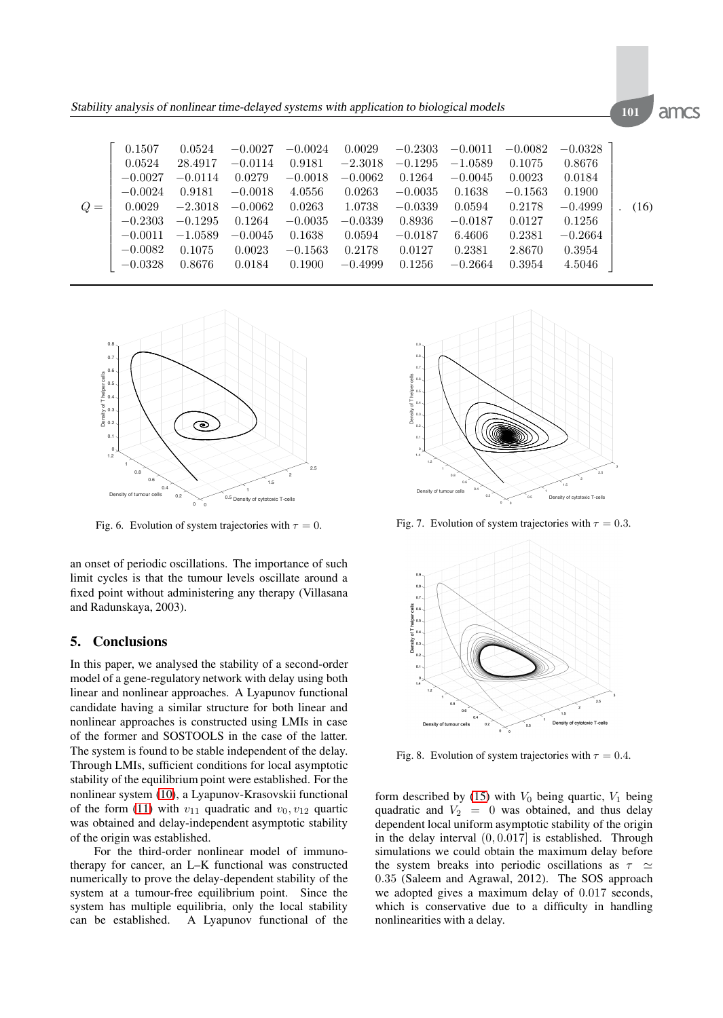|      | 0.1507    | 0.0524    | $-0.0027$ | $-0.0024$ | 0.0029    | $-0.2303$ | $-0.0011$ | $-0.0082$ | $-0.0328$ |      |
|------|-----------|-----------|-----------|-----------|-----------|-----------|-----------|-----------|-----------|------|
|      | 0.0524    | 28.4917   | $-0.0114$ | 0.9181    | $-2.3018$ | $-0.1295$ | $-1.0589$ | 0.1075    | 0.8676    |      |
|      | $-0.0027$ | $-0.0114$ | 0.0279    | $-0.0018$ | $-0.0062$ | 0.1264    | $-0.0045$ | 0.0023    | 0.0184    |      |
|      | $-0.0024$ | 0.9181    | $-0.0018$ | 4.0556    | 0.0263    | $-0.0035$ | 0.1638    | $-0.1563$ | 0.1900    |      |
| $Q=$ | 0.0029    | $-2.3018$ | $-0.0062$ | 0.0263    | 1.0738    | $-0.0339$ | 0.0594    | 0.2178    | $-0.4999$ | (16) |
|      | $-0.2303$ | $-0.1295$ | 0.1264    | $-0.0035$ | $-0.0339$ | 0.8936    | $-0.0187$ | 0.0127    | 0.1256    |      |
|      | $-0.0011$ | $-1.0589$ | $-0.0045$ | 0.1638    | 0.0594    | $-0.0187$ | 6.4606    | 0.2381    | $-0.2664$ |      |
|      | $-0.0082$ | 0.1075    | 0.0023    | $-0.1563$ | 0.2178    | 0.0127    | 0.2381    | 2.8670    | 0.3954    |      |
|      | $-0.0328$ | 0.8676    | 0.0184    | 0.1900    | $-0.4999$ | 0.1256    | $-0.2664$ | 0.3954    | 4.5046    |      |



Fig. 6. Evolution of system trajectories with  $\tau = 0$ .

an onset of periodic oscillations. The importance of such limit cycles is that the tumour levels oscillate around a fixed point without administering any therapy (Villasana and Radunskaya, 2003).

#### **5. Conclusions**

In this paper, we analysed the stability of a second-order model of a gene-regulatory network with delay using both linear and nonlinear approaches. A Lyapunov functional candidate having a similar structure for both linear and nonlinear approaches is constructed using LMIs in case of the former and SOSTOOLS in the case of the latter. The system is found to be stable independent of the delay. Through LMIs, sufficient conditions for local asymptotic stability of the equilibrium point were established. For the nonlinear system (10), a Lyapunov-Krasovskii functional of the form (11) with  $v_{11}$  quadratic and  $v_0$ ,  $v_{12}$  quartic was obtained and delay-independent asymptotic stability of the origin was established.

For the third-order nonlinear model of immunotherapy for cancer, an L–K functional was constructed numerically to prove the delay-dependent stability of the system at a tumour-free equilibrium point. Since the system has multiple equilibria, only the local stability can be established. A Lyapunov functional of the



Fig. 7. Evolution of system trajectories with  $\tau = 0.3$ .



Fig. 8. Evolution of system trajectories with  $\tau = 0.4$ .

form described by (15) with  $V_0$  being quartic,  $V_1$  being quadratic and  $V_2 = 0$  was obtained, and thus delay dependent local uniform asymptotic stability of the origin in the delay interval (0, 0.017] is established. Through simulations we could obtain the maximum delay before the system breaks into periodic oscillations as  $\tau \simeq$ 0.35 (Saleem and Agrawal, 2012). The SOS approach we adopted gives a maximum delay of 0.017 seconds, which is conservative due to a difficulty in handling nonlinearities with a delay.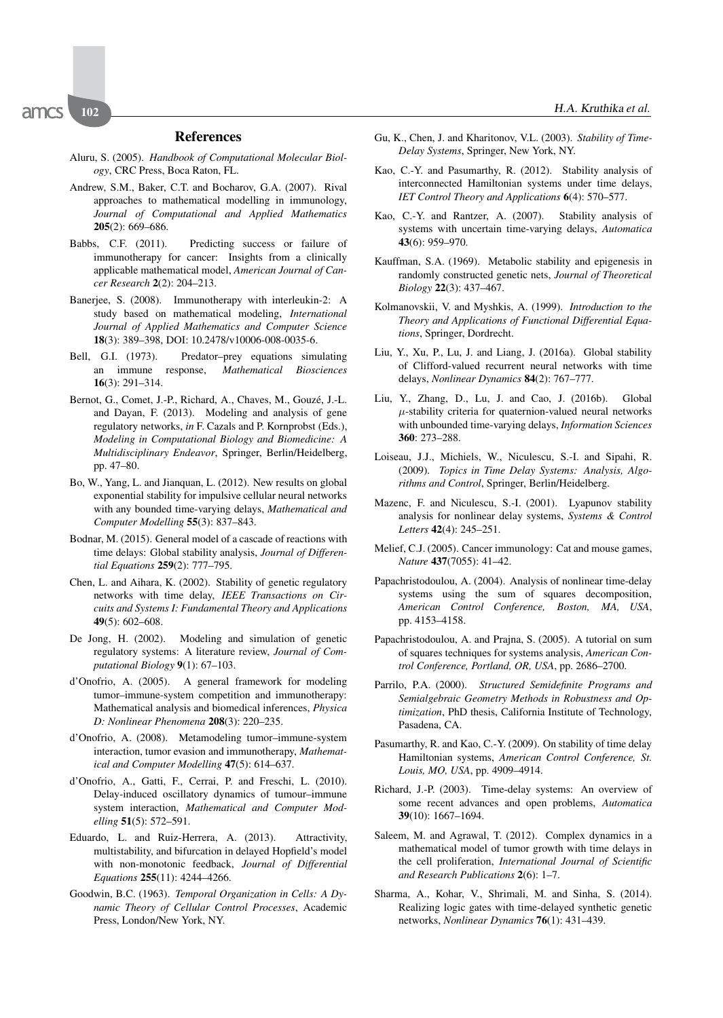#### **References**

- Aluru, S. (2005). *Handbook of Computational Molecular Biology*, CRC Press, Boca Raton, FL.
- Andrew, S.M., Baker, C.T. and Bocharov, G.A. (2007). Rival approaches to mathematical modelling in immunology, *Journal of Computational and Applied Mathematics* **205**(2): 669–686.
- Babbs, C.F. (2011). Predicting success or failure of immunotherapy for cancer: Insights from a clinically applicable mathematical model, *American Journal of Cancer Research* **2**(2): 204–213.
- Banerjee, S. (2008). Immunotherapy with interleukin-2: A study based on mathematical modeling, *International Journal of Applied Mathematics and Computer Science* **18**(3): 389–398, DOI: 10.2478/v10006-008-0035-6.
- Bell, G.I. (1973). Predator–prey equations simulating an immune response, *Mathematical Biosciences* **16**(3): 291–314.
- Bernot, G., Comet, J.-P., Richard, A., Chaves, M., Gouzé, J.-L. and Dayan, F. (2013). Modeling and analysis of gene regulatory networks, *in* F. Cazals and P. Kornprobst (Eds.), *Modeling in Computational Biology and Biomedicine: A Multidisciplinary Endeavor*, Springer, Berlin/Heidelberg, pp. 47–80.
- Bo, W., Yang, L. and Jianquan, L. (2012). New results on global exponential stability for impulsive cellular neural networks with any bounded time-varying delays, *Mathematical and Computer Modelling* **55**(3): 837–843.
- Bodnar, M. (2015). General model of a cascade of reactions with time delays: Global stability analysis, *Journal of Differential Equations* **259**(2): 777–795.
- Chen, L. and Aihara, K. (2002). Stability of genetic regulatory networks with time delay, *IEEE Transactions on Circuits and Systems I: Fundamental Theory and Applications* **49**(5): 602–608.
- De Jong, H. (2002). Modeling and simulation of genetic regulatory systems: A literature review, *Journal of Computational Biology* **9**(1): 67–103.
- d'Onofrio, A. (2005). A general framework for modeling tumor–immune-system competition and immunotherapy: Mathematical analysis and biomedical inferences, *Physica D: Nonlinear Phenomena* **208**(3): 220–235.
- d'Onofrio, A. (2008). Metamodeling tumor–immune-system interaction, tumor evasion and immunotherapy, *Mathematical and Computer Modelling* **47**(5): 614–637.
- d'Onofrio, A., Gatti, F., Cerrai, P. and Freschi, L. (2010). Delay-induced oscillatory dynamics of tumour–immune system interaction, *Mathematical and Computer Modelling* **51**(5): 572–591.
- Eduardo, L. and Ruiz-Herrera, A. (2013). Attractivity, multistability, and bifurcation in delayed Hopfield's model with non-monotonic feedback, *Journal of Differential Equations* **255**(11): 4244–4266.
- Goodwin, B.C. (1963). *Temporal Organization in Cells: A Dynamic Theory of Cellular Control Processes*, Academic Press, London/New York, NY.
- Gu, K., Chen, J. and Kharitonov, V.L. (2003). *Stability of Time-Delay Systems*, Springer, New York, NY.
- Kao, C.-Y. and Pasumarthy, R. (2012). Stability analysis of interconnected Hamiltonian systems under time delays, *IET Control Theory and Applications* **6**(4): 570–577.
- Kao, C.-Y. and Rantzer, A. (2007). Stability analysis of systems with uncertain time-varying delays, *Automatica* **43**(6): 959–970.
- Kauffman, S.A. (1969). Metabolic stability and epigenesis in randomly constructed genetic nets, *Journal of Theoretical Biology* **22**(3): 437–467.
- Kolmanovskii, V. and Myshkis, A. (1999). *Introduction to the Theory and Applications of Functional Differential Equations*, Springer, Dordrecht.
- Liu, Y., Xu, P., Lu, J. and Liang, J. (2016a). Global stability of Clifford-valued recurrent neural networks with time delays, *Nonlinear Dynamics* **84**(2): 767–777.
- Liu, Y., Zhang, D., Lu, J. and Cao, J. (2016b). Global  $\mu$ -stability criteria for quaternion-valued neural networks with unbounded time-varying delays, *Information Sciences* **360**: 273–288.
- Loiseau, J.J., Michiels, W., Niculescu, S.-I. and Sipahi, R. (2009). *Topics in Time Delay Systems: Analysis, Algorithms and Control*, Springer, Berlin/Heidelberg.
- Mazenc, F. and Niculescu, S.-I. (2001). Lyapunov stability analysis for nonlinear delay systems, *Systems & Control Letters* **42**(4): 245–251.
- Melief, C.J. (2005). Cancer immunology: Cat and mouse games, *Nature* **437**(7055): 41–42.
- Papachristodoulou, A. (2004). Analysis of nonlinear time-delay systems using the sum of squares decomposition, *American Control Conference, Boston, MA, USA*, pp. 4153–4158.
- Papachristodoulou, A. and Prajna, S. (2005). A tutorial on sum of squares techniques for systems analysis, *American Control Conference, Portland, OR, USA*, pp. 2686–2700.
- Parrilo, P.A. (2000). *Structured Semidefinite Programs and Semialgebraic Geometry Methods in Robustness and Optimization*, PhD thesis, California Institute of Technology, Pasadena, CA.
- Pasumarthy, R. and Kao, C.-Y. (2009). On stability of time delay Hamiltonian systems, *American Control Conference, St. Louis, MO, USA*, pp. 4909–4914.
- Richard, J.-P. (2003). Time-delay systems: An overview of some recent advances and open problems, *Automatica* **39**(10): 1667–1694.
- Saleem, M. and Agrawal, T. (2012). Complex dynamics in a mathematical model of tumor growth with time delays in the cell proliferation, *International Journal of Scientific and Research Publications* **2**(6): 1–7.
- Sharma, A., Kohar, V., Shrimali, M. and Sinha, S. (2014). Realizing logic gates with time-delayed synthetic genetic networks, *Nonlinear Dynamics* **76**(1): 431–439.